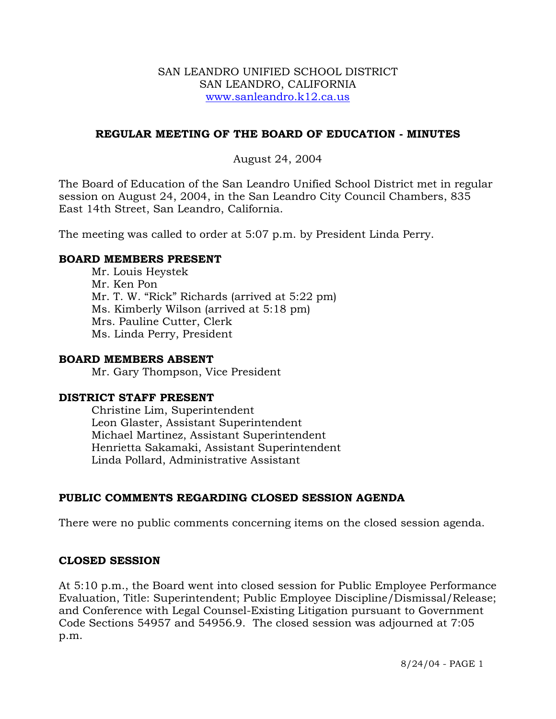#### SAN LEANDRO UNIFIED SCHOOL DISTRICT SAN LEANDRO, CALIFORNIA www.sanleandro.k12.ca.us

## **REGULAR MEETING OF THE BOARD OF EDUCATION - MINUTES**

## August 24, 2004

The Board of Education of the San Leandro Unified School District met in regular session on August 24, 2004, in the San Leandro City Council Chambers, 835 East 14th Street, San Leandro, California.

The meeting was called to order at 5:07 p.m. by President Linda Perry.

## **BOARD MEMBERS PRESENT**

Mr. Louis Heystek Mr. Ken Pon Mr. T. W. "Rick" Richards (arrived at 5:22 pm) Ms. Kimberly Wilson (arrived at 5:18 pm) Mrs. Pauline Cutter, Clerk Ms. Linda Perry, President

### **BOARD MEMBERS ABSENT**

Mr. Gary Thompson, Vice President

## **DISTRICT STAFF PRESENT**

Christine Lim, Superintendent Leon Glaster, Assistant Superintendent Michael Martinez, Assistant Superintendent Henrietta Sakamaki, Assistant Superintendent Linda Pollard, Administrative Assistant

# **PUBLIC COMMENTS REGARDING CLOSED SESSION AGENDA**

There were no public comments concerning items on the closed session agenda.

## **CLOSED SESSION**

At 5:10 p.m., the Board went into closed session for Public Employee Performance Evaluation, Title: Superintendent; Public Employee Discipline/Dismissal/Release; and Conference with Legal Counsel-Existing Litigation pursuant to Government Code Sections 54957 and 54956.9. The closed session was adjourned at 7:05 p.m.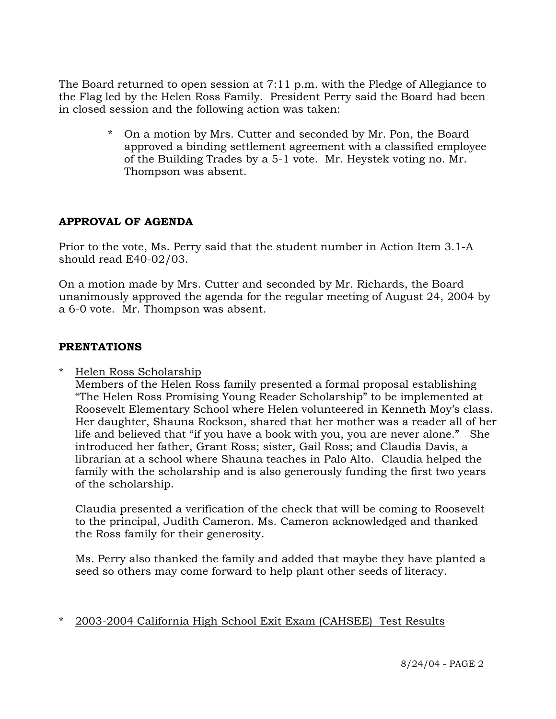The Board returned to open session at 7:11 p.m. with the Pledge of Allegiance to the Flag led by the Helen Ross Family. President Perry said the Board had been in closed session and the following action was taken:

> On a motion by Mrs. Cutter and seconded by Mr. Pon, the Board approved a binding settlement agreement with a classified employee of the Building Trades by a 5-1 vote. Mr. Heystek voting no. Mr. Thompson was absent.

# **APPROVAL OF AGENDA**

Prior to the vote, Ms. Perry said that the student number in Action Item 3.1-A should read E40-02/03.

On a motion made by Mrs. Cutter and seconded by Mr. Richards, the Board unanimously approved the agenda for the regular meeting of August 24, 2004 by a 6-0 vote. Mr. Thompson was absent.

## **PRENTATIONS**

\* Helen Ross Scholarship

Members of the Helen Ross family presented a formal proposal establishing "The Helen Ross Promising Young Reader Scholarship" to be implemented at Roosevelt Elementary School where Helen volunteered in Kenneth Moy's class. Her daughter, Shauna Rockson, shared that her mother was a reader all of her life and believed that "if you have a book with you, you are never alone." She introduced her father, Grant Ross; sister, Gail Ross; and Claudia Davis, a librarian at a school where Shauna teaches in Palo Alto. Claudia helped the family with the scholarship and is also generously funding the first two years of the scholarship.

Claudia presented a verification of the check that will be coming to Roosevelt to the principal, Judith Cameron. Ms. Cameron acknowledged and thanked the Ross family for their generosity.

Ms. Perry also thanked the family and added that maybe they have planted a seed so others may come forward to help plant other seeds of literacy.

## \* 2003-2004 California High School Exit Exam (CAHSEE) Test Results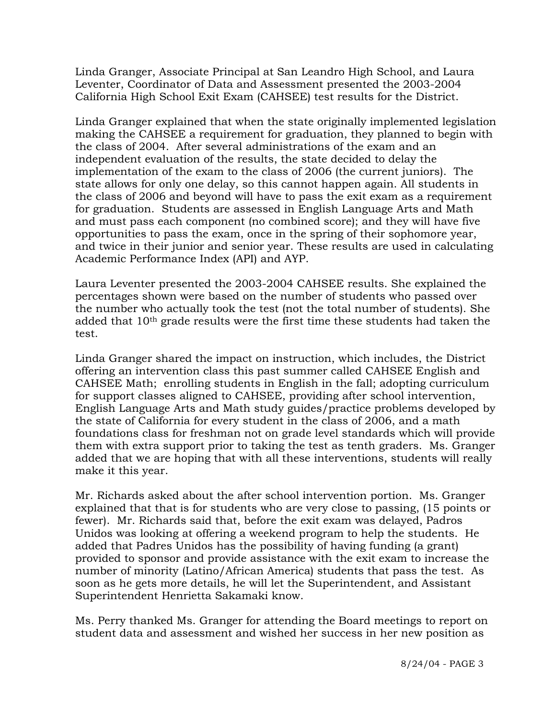Linda Granger, Associate Principal at San Leandro High School, and Laura Leventer, Coordinator of Data and Assessment presented the 2003-2004 California High School Exit Exam (CAHSEE) test results for the District.

Linda Granger explained that when the state originally implemented legislation making the CAHSEE a requirement for graduation, they planned to begin with the class of 2004. After several administrations of the exam and an independent evaluation of the results, the state decided to delay the implementation of the exam to the class of 2006 (the current juniors). The state allows for only one delay, so this cannot happen again. All students in the class of 2006 and beyond will have to pass the exit exam as a requirement for graduation. Students are assessed in English Language Arts and Math and must pass each component (no combined score); and they will have five opportunities to pass the exam, once in the spring of their sophomore year, and twice in their junior and senior year. These results are used in calculating Academic Performance Index (API) and AYP.

Laura Leventer presented the 2003-2004 CAHSEE results. She explained the percentages shown were based on the number of students who passed over the number who actually took the test (not the total number of students). She added that 10th grade results were the first time these students had taken the test.

Linda Granger shared the impact on instruction, which includes, the District offering an intervention class this past summer called CAHSEE English and CAHSEE Math; enrolling students in English in the fall; adopting curriculum for support classes aligned to CAHSEE, providing after school intervention, English Language Arts and Math study guides/practice problems developed by the state of California for every student in the class of 2006, and a math foundations class for freshman not on grade level standards which will provide them with extra support prior to taking the test as tenth graders. Ms. Granger added that we are hoping that with all these interventions, students will really make it this year.

Mr. Richards asked about the after school intervention portion. Ms. Granger explained that that is for students who are very close to passing, (15 points or fewer). Mr. Richards said that, before the exit exam was delayed, Padros Unidos was looking at offering a weekend program to help the students. He added that Padres Unidos has the possibility of having funding (a grant) provided to sponsor and provide assistance with the exit exam to increase the number of minority (Latino/African America) students that pass the test. As soon as he gets more details, he will let the Superintendent, and Assistant Superintendent Henrietta Sakamaki know.

Ms. Perry thanked Ms. Granger for attending the Board meetings to report on student data and assessment and wished her success in her new position as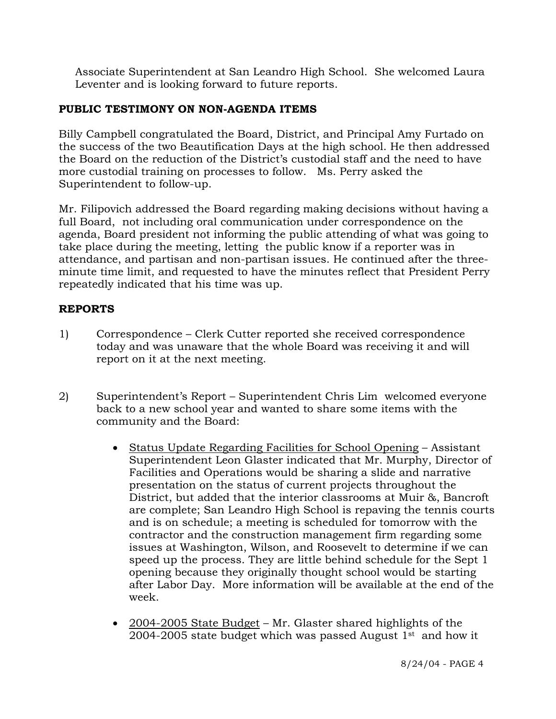Associate Superintendent at San Leandro High School. She welcomed Laura Leventer and is looking forward to future reports.

# **PUBLIC TESTIMONY ON NON-AGENDA ITEMS**

Billy Campbell congratulated the Board, District, and Principal Amy Furtado on the success of the two Beautification Days at the high school. He then addressed the Board on the reduction of the District's custodial staff and the need to have more custodial training on processes to follow. Ms. Perry asked the Superintendent to follow-up.

Mr. Filipovich addressed the Board regarding making decisions without having a full Board, not including oral communication under correspondence on the agenda, Board president not informing the public attending of what was going to take place during the meeting, letting the public know if a reporter was in attendance, and partisan and non-partisan issues. He continued after the threeminute time limit, and requested to have the minutes reflect that President Perry repeatedly indicated that his time was up.

# **REPORTS**

- 1) Correspondence Clerk Cutter reported she received correspondence today and was unaware that the whole Board was receiving it and will report on it at the next meeting.
- 2) Superintendent's Report Superintendent Chris Lim welcomed everyone back to a new school year and wanted to share some items with the community and the Board:
	- Status Update Regarding Facilities for School Opening Assistant Superintendent Leon Glaster indicated that Mr. Murphy, Director of Facilities and Operations would be sharing a slide and narrative presentation on the status of current projects throughout the District, but added that the interior classrooms at Muir &, Bancroft are complete; San Leandro High School is repaving the tennis courts and is on schedule; a meeting is scheduled for tomorrow with the contractor and the construction management firm regarding some issues at Washington, Wilson, and Roosevelt to determine if we can speed up the process. They are little behind schedule for the Sept 1 opening because they originally thought school would be starting after Labor Day. More information will be available at the end of the week.
	- 2004-2005 State Budget Mr. Glaster shared highlights of the 2004-2005 state budget which was passed August  $1<sup>st</sup>$  and how it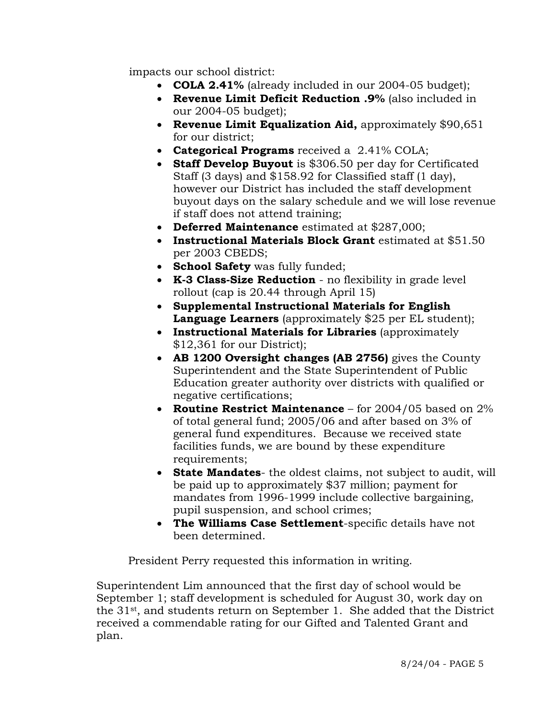impacts our school district:

- **COLA 2.41%** (already included in our 2004-05 budget);
- **Revenue Limit Deficit Reduction .9%** (also included in our 2004-05 budget);
- **Revenue Limit Equalization Aid,** approximately \$90,651 for our district;
- **Categorical Programs** received a 2.41% COLA;
- **Staff Develop Buyout** is \$306.50 per day for Certificated Staff (3 days) and \$158.92 for Classified staff (1 day), however our District has included the staff development buyout days on the salary schedule and we will lose revenue if staff does not attend training;
- **Deferred Maintenance** estimated at \$287,000;
- **Instructional Materials Block Grant** estimated at \$51.50 per 2003 CBEDS;
- **School Safety** was fully funded;
- **K-3 Class-Size Reduction** no flexibility in grade level rollout (cap is 20.44 through April 15)
- **Supplemental Instructional Materials for English Language Learners** (approximately \$25 per EL student);
- **Instructional Materials for Libraries** (approximately \$12,361 for our District);
- **AB 1200 Oversight changes (AB 2756)** gives the County Superintendent and the State Superintendent of Public Education greater authority over districts with qualified or negative certifications;
- **Routine Restrict Maintenance** for 2004/05 based on 2% of total general fund; 2005/06 and after based on 3% of general fund expenditures. Because we received state facilities funds, we are bound by these expenditure requirements;
- **State Mandates** the oldest claims, not subject to audit, will be paid up to approximately \$37 million; payment for mandates from 1996-1999 include collective bargaining, pupil suspension, and school crimes;
- **The Williams Case Settlement**-specific details have not been determined.

President Perry requested this information in writing.

Superintendent Lim announced that the first day of school would be September 1; staff development is scheduled for August 30, work day on the 31st, and students return on September 1. She added that the District received a commendable rating for our Gifted and Talented Grant and plan.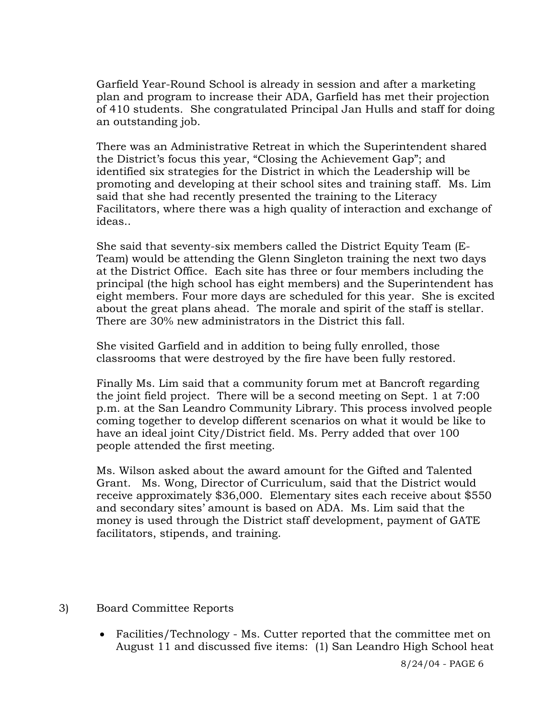Garfield Year-Round School is already in session and after a marketing plan and program to increase their ADA, Garfield has met their projection of 410 students. She congratulated Principal Jan Hulls and staff for doing an outstanding job.

There was an Administrative Retreat in which the Superintendent shared the District's focus this year, "Closing the Achievement Gap"; and identified six strategies for the District in which the Leadership will be promoting and developing at their school sites and training staff. Ms. Lim said that she had recently presented the training to the Literacy Facilitators, where there was a high quality of interaction and exchange of ideas..

She said that seventy-six members called the District Equity Team (E-Team) would be attending the Glenn Singleton training the next two days at the District Office. Each site has three or four members including the principal (the high school has eight members) and the Superintendent has eight members. Four more days are scheduled for this year. She is excited about the great plans ahead. The morale and spirit of the staff is stellar. There are 30% new administrators in the District this fall.

She visited Garfield and in addition to being fully enrolled, those classrooms that were destroyed by the fire have been fully restored.

Finally Ms. Lim said that a community forum met at Bancroft regarding the joint field project. There will be a second meeting on Sept. 1 at 7:00 p.m. at the San Leandro Community Library. This process involved people coming together to develop different scenarios on what it would be like to have an ideal joint City/District field. Ms. Perry added that over 100 people attended the first meeting.

Ms. Wilson asked about the award amount for the Gifted and Talented Grant. Ms. Wong, Director of Curriculum, said that the District would receive approximately \$36,000. Elementary sites each receive about \$550 and secondary sites' amount is based on ADA. Ms. Lim said that the money is used through the District staff development, payment of GATE facilitators, stipends, and training.

- 3) Board Committee Reports
	- Facilities/Technology Ms. Cutter reported that the committee met on August 11 and discussed five items: (1) San Leandro High School heat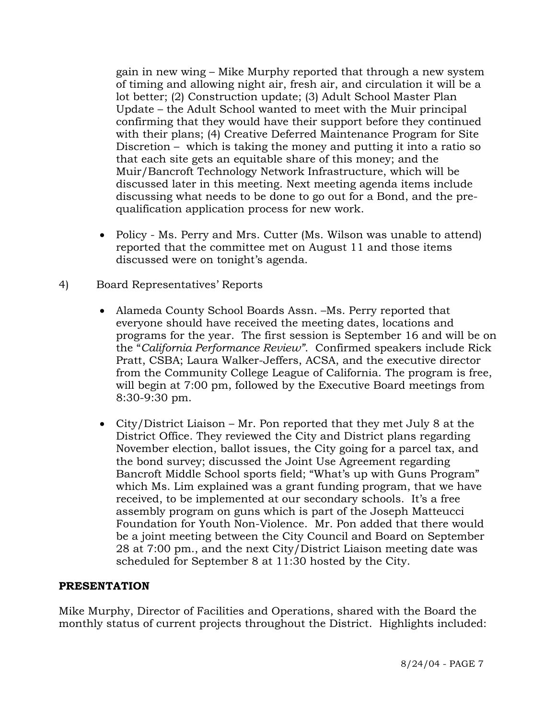gain in new wing – Mike Murphy reported that through a new system of timing and allowing night air, fresh air, and circulation it will be a lot better; (2) Construction update; (3) Adult School Master Plan Update – the Adult School wanted to meet with the Muir principal confirming that they would have their support before they continued with their plans; (4) Creative Deferred Maintenance Program for Site Discretion – which is taking the money and putting it into a ratio so that each site gets an equitable share of this money; and the Muir/Bancroft Technology Network Infrastructure, which will be discussed later in this meeting. Next meeting agenda items include discussing what needs to be done to go out for a Bond, and the prequalification application process for new work.

- Policy Ms. Perry and Mrs. Cutter (Ms. Wilson was unable to attend) reported that the committee met on August 11 and those items discussed were on tonight's agenda.
- 4) Board Representatives' Reports
	- Alameda County School Boards Assn. –Ms. Perry reported that everyone should have received the meeting dates, locations and programs for the year. The first session is September 16 and will be on the "*California Performance Review"*. Confirmed speakers include Rick Pratt, CSBA; Laura Walker-Jeffers, ACSA, and the executive director from the Community College League of California. The program is free, will begin at 7:00 pm, followed by the Executive Board meetings from 8:30-9:30 pm.
	- City/District Liaison Mr. Pon reported that they met July 8 at the District Office. They reviewed the City and District plans regarding November election, ballot issues, the City going for a parcel tax, and the bond survey; discussed the Joint Use Agreement regarding Bancroft Middle School sports field; "What's up with Guns Program" which Ms. Lim explained was a grant funding program, that we have received, to be implemented at our secondary schools. It's a free assembly program on guns which is part of the Joseph Matteucci Foundation for Youth Non-Violence. Mr. Pon added that there would be a joint meeting between the City Council and Board on September 28 at 7:00 pm., and the next City/District Liaison meeting date was scheduled for September 8 at 11:30 hosted by the City.

## **PRESENTATION**

Mike Murphy, Director of Facilities and Operations, shared with the Board the monthly status of current projects throughout the District. Highlights included: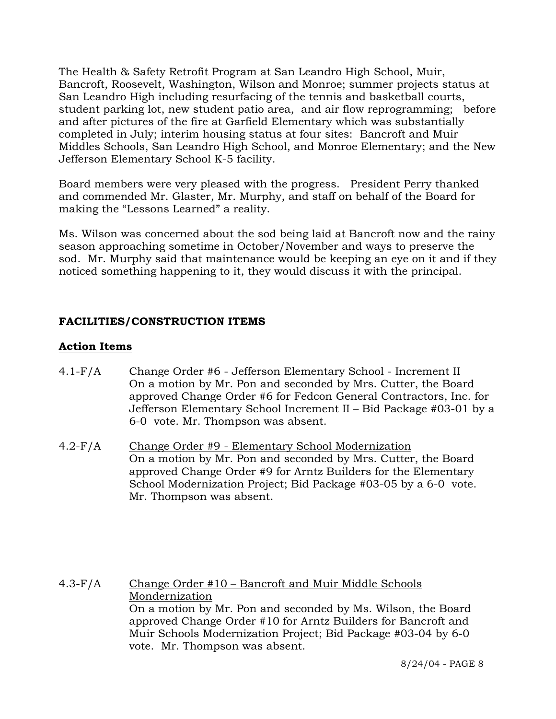The Health & Safety Retrofit Program at San Leandro High School, Muir, Bancroft, Roosevelt, Washington, Wilson and Monroe; summer projects status at San Leandro High including resurfacing of the tennis and basketball courts, student parking lot, new student patio area, and air flow reprogramming; before and after pictures of the fire at Garfield Elementary which was substantially completed in July; interim housing status at four sites: Bancroft and Muir Middles Schools, San Leandro High School, and Monroe Elementary; and the New Jefferson Elementary School K-5 facility.

Board members were very pleased with the progress. President Perry thanked and commended Mr. Glaster, Mr. Murphy, and staff on behalf of the Board for making the "Lessons Learned" a reality.

Ms. Wilson was concerned about the sod being laid at Bancroft now and the rainy season approaching sometime in October/November and ways to preserve the sod. Mr. Murphy said that maintenance would be keeping an eye on it and if they noticed something happening to it, they would discuss it with the principal.

# **FACILITIES/CONSTRUCTION ITEMS**

## **Action Items**

- 4.1-F/A Change Order #6 Jefferson Elementary School Increment II On a motion by Mr. Pon and seconded by Mrs. Cutter, the Board approved Change Order #6 for Fedcon General Contractors, Inc. for Jefferson Elementary School Increment II – Bid Package #03-01 by a 6-0 vote. Mr. Thompson was absent.
- 4.2-F/A Change Order #9 Elementary School Modernization On a motion by Mr. Pon and seconded by Mrs. Cutter, the Board approved Change Order #9 for Arntz Builders for the Elementary School Modernization Project; Bid Package #03-05 by a 6-0 vote. Mr. Thompson was absent.

4.3-F/A Change Order #10 – Bancroft and Muir Middle Schools Mondernization On a motion by Mr. Pon and seconded by Ms. Wilson, the Board approved Change Order #10 for Arntz Builders for Bancroft and Muir Schools Modernization Project; Bid Package #03-04 by 6-0 vote. Mr. Thompson was absent.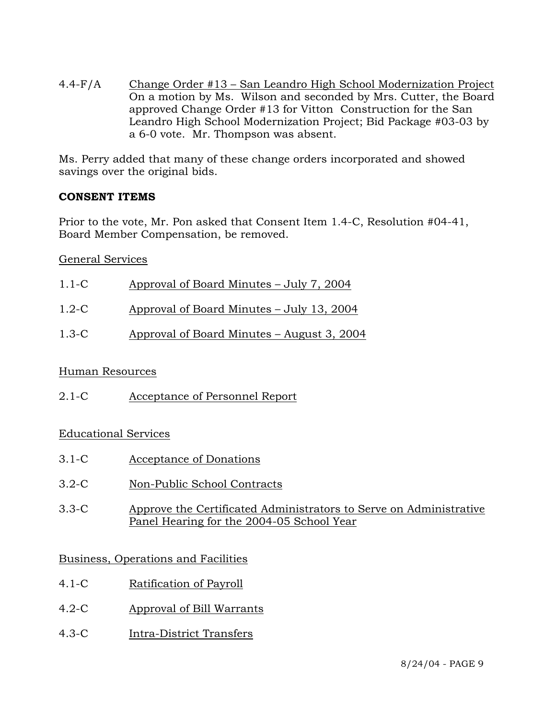4.4-F/A Change Order #13 – San Leandro High School Modernization Project On a motion by Ms. Wilson and seconded by Mrs. Cutter, the Board approved Change Order #13 for Vitton Construction for the San Leandro High School Modernization Project; Bid Package #03-03 by a 6-0 vote. Mr. Thompson was absent.

Ms. Perry added that many of these change orders incorporated and showed savings over the original bids.

## **CONSENT ITEMS**

Prior to the vote, Mr. Pon asked that Consent Item 1.4-C, Resolution #04-41, Board Member Compensation, be removed.

## General Services

| $1.1-C$   | Approval of Board Minutes – July 7, 2004   |
|-----------|--------------------------------------------|
| $1.2 - C$ | Approval of Board Minutes – July 13, 2004  |
| $1.3-C$   | Approval of Board Minutes – August 3, 2004 |

# Human Resources

2.1-C Acceptance of Personnel Report

# Educational Services

- 3.1-C Acceptance of Donations
- 3.2-C Non-Public School Contracts
- 3.3-C Approve the Certificated Administrators to Serve on Administrative Panel Hearing for the 2004-05 School Year

# Business, Operations and Facilities

- 4.1-C Ratification of Payroll
- 4.2-C Approval of Bill Warrants
- 4.3-C Intra-District Transfers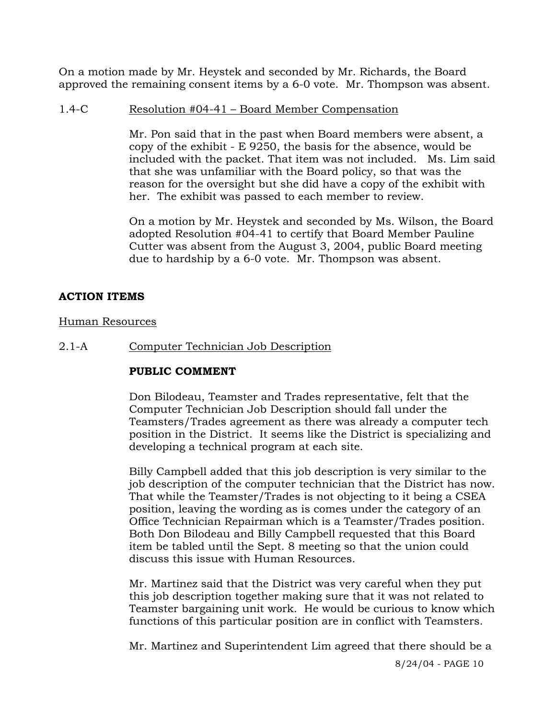On a motion made by Mr. Heystek and seconded by Mr. Richards, the Board approved the remaining consent items by a 6-0 vote. Mr. Thompson was absent.

### 1.4-C Resolution #04-41 – Board Member Compensation

Mr. Pon said that in the past when Board members were absent, a copy of the exhibit - E 9250, the basis for the absence, would be included with the packet. That item was not included. Ms. Lim said that she was unfamiliar with the Board policy, so that was the reason for the oversight but she did have a copy of the exhibit with her. The exhibit was passed to each member to review.

On a motion by Mr. Heystek and seconded by Ms. Wilson, the Board adopted Resolution #04-41 to certify that Board Member Pauline Cutter was absent from the August 3, 2004, public Board meeting due to hardship by a 6-0 vote. Mr. Thompson was absent.

## **ACTION ITEMS**

### Human Resources

2.1-A Computer Technician Job Description

## **PUBLIC COMMENT**

Don Bilodeau, Teamster and Trades representative, felt that the Computer Technician Job Description should fall under the Teamsters/Trades agreement as there was already a computer tech position in the District. It seems like the District is specializing and developing a technical program at each site.

Billy Campbell added that this job description is very similar to the job description of the computer technician that the District has now. That while the Teamster/Trades is not objecting to it being a CSEA position, leaving the wording as is comes under the category of an Office Technician Repairman which is a Teamster/Trades position. Both Don Bilodeau and Billy Campbell requested that this Board item be tabled until the Sept. 8 meeting so that the union could discuss this issue with Human Resources.

Mr. Martinez said that the District was very careful when they put this job description together making sure that it was not related to Teamster bargaining unit work. He would be curious to know which functions of this particular position are in conflict with Teamsters.

Mr. Martinez and Superintendent Lim agreed that there should be a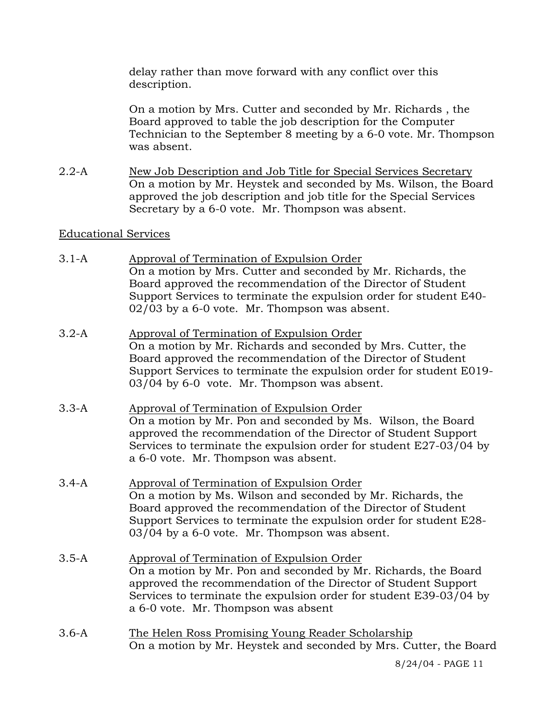delay rather than move forward with any conflict over this description.

On a motion by Mrs. Cutter and seconded by Mr. Richards , the Board approved to table the job description for the Computer Technician to the September 8 meeting by a 6-0 vote. Mr. Thompson was absent.

2.2-A New Job Description and Job Title for Special Services Secretary On a motion by Mr. Heystek and seconded by Ms. Wilson, the Board approved the job description and job title for the Special Services Secretary by a 6-0 vote. Mr. Thompson was absent.

### Educational Services

- 3.1-A Approval of Termination of Expulsion Order On a motion by Mrs. Cutter and seconded by Mr. Richards, the Board approved the recommendation of the Director of Student Support Services to terminate the expulsion order for student E40- 02/03 by a 6-0 vote. Mr. Thompson was absent.
- 3.2-A Approval of Termination of Expulsion Order On a motion by Mr. Richards and seconded by Mrs. Cutter, the Board approved the recommendation of the Director of Student Support Services to terminate the expulsion order for student E019- 03/04 by 6-0 vote. Mr. Thompson was absent.
- 3.3-A Approval of Termination of Expulsion Order On a motion by Mr. Pon and seconded by Ms. Wilson, the Board approved the recommendation of the Director of Student Support Services to terminate the expulsion order for student E27-03/04 by a 6-0 vote. Mr. Thompson was absent.
- 3.4-A Approval of Termination of Expulsion Order On a motion by Ms. Wilson and seconded by Mr. Richards, the Board approved the recommendation of the Director of Student Support Services to terminate the expulsion order for student E28- 03/04 by a 6-0 vote. Mr. Thompson was absent.
- 3.5-A Approval of Termination of Expulsion Order On a motion by Mr. Pon and seconded by Mr. Richards, the Board approved the recommendation of the Director of Student Support Services to terminate the expulsion order for student E39-03/04 by a 6-0 vote. Mr. Thompson was absent
- 3.6-A The Helen Ross Promising Young Reader Scholarship On a motion by Mr. Heystek and seconded by Mrs. Cutter, the Board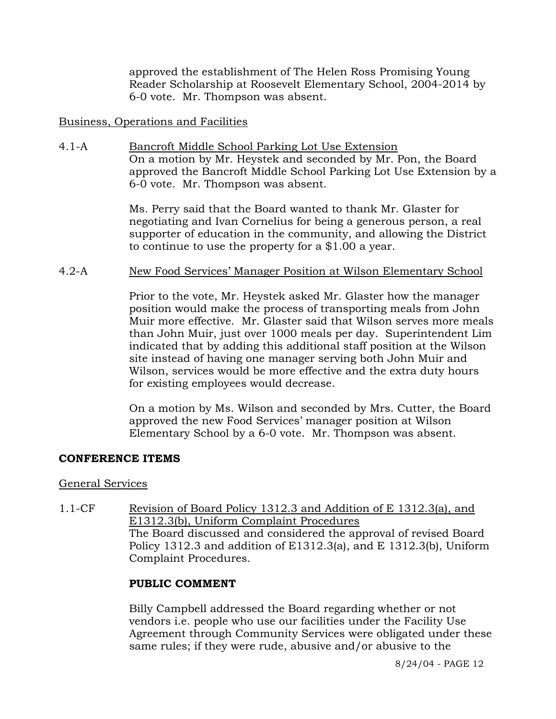approved the establishment of The Helen Ross Promising Young Reader Scholarship at Roosevelt Elementary School, 2004-2014 by 6-0 vote. Mr. Thompson was absent.

### Business, Operations and Facilities

4.1-A Bancroft Middle School Parking Lot Use Extension On a motion by Mr. Heystek and seconded by Mr. Pon, the Board approved the Bancroft Middle School Parking Lot Use Extension by a 6-0 vote. Mr. Thompson was absent.

> Ms. Perry said that the Board wanted to thank Mr. Glaster for negotiating and Ivan Cornelius for being a generous person, a real supporter of education in the community, and allowing the District to continue to use the property for a \$1.00 a year.

#### 4.2-A New Food Services' Manager Position at Wilson Elementary School

Prior to the vote, Mr. Heystek asked Mr. Glaster how the manager position would make the process of transporting meals from John Muir more effective. Mr. Glaster said that Wilson serves more meals than John Muir, just over 1000 meals per day. Superintendent Lim indicated that by adding this additional staff position at the Wilson site instead of having one manager serving both John Muir and Wilson, services would be more effective and the extra duty hours for existing employees would decrease.

On a motion by Ms. Wilson and seconded by Mrs. Cutter, the Board approved the new Food Services' manager position at Wilson Elementary School by a 6-0 vote. Mr. Thompson was absent.

#### **CONFERENCE ITEMS**

#### General Services

1.1-CF Revision of Board Policy 1312.3 and Addition of E 1312.3(a), and E1312.3(b), Uniform Complaint Procedures The Board discussed and considered the approval of revised Board Policy 1312.3 and addition of E1312.3(a), and E 1312.3(b), Uniform Complaint Procedures.

## **PUBLIC COMMENT**

Billy Campbell addressed the Board regarding whether or not vendors i.e. people who use our facilities under the Facility Use Agreement through Community Services were obligated under these same rules; if they were rude, abusive and/or abusive to the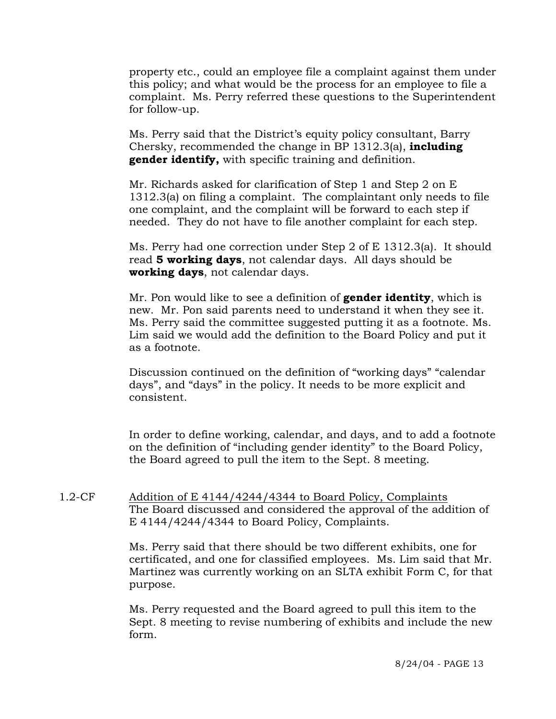property etc., could an employee file a complaint against them under this policy; and what would be the process for an employee to file a complaint. Ms. Perry referred these questions to the Superintendent for follow-up.

Ms. Perry said that the District's equity policy consultant, Barry Chersky, recommended the change in BP 1312.3(a), **including gender identify,** with specific training and definition.

Mr. Richards asked for clarification of Step 1 and Step 2 on E 1312.3(a) on filing a complaint. The complaintant only needs to file one complaint, and the complaint will be forward to each step if needed. They do not have to file another complaint for each step.

Ms. Perry had one correction under Step 2 of E 1312.3(a). It should read **5 working days**, not calendar days. All days should be **working days**, not calendar days.

Mr. Pon would like to see a definition of **gender identity**, which is new. Mr. Pon said parents need to understand it when they see it. Ms. Perry said the committee suggested putting it as a footnote. Ms. Lim said we would add the definition to the Board Policy and put it as a footnote.

Discussion continued on the definition of "working days" "calendar days", and "days" in the policy. It needs to be more explicit and consistent.

In order to define working, calendar, and days, and to add a footnote on the definition of "including gender identity" to the Board Policy, the Board agreed to pull the item to the Sept. 8 meeting.

1.2-CF Addition of E 4144/4244/4344 to Board Policy, Complaints The Board discussed and considered the approval of the addition of E 4144/4244/4344 to Board Policy, Complaints.

> Ms. Perry said that there should be two different exhibits, one for certificated, and one for classified employees. Ms. Lim said that Mr. Martinez was currently working on an SLTA exhibit Form C, for that purpose.

> Ms. Perry requested and the Board agreed to pull this item to the Sept. 8 meeting to revise numbering of exhibits and include the new form.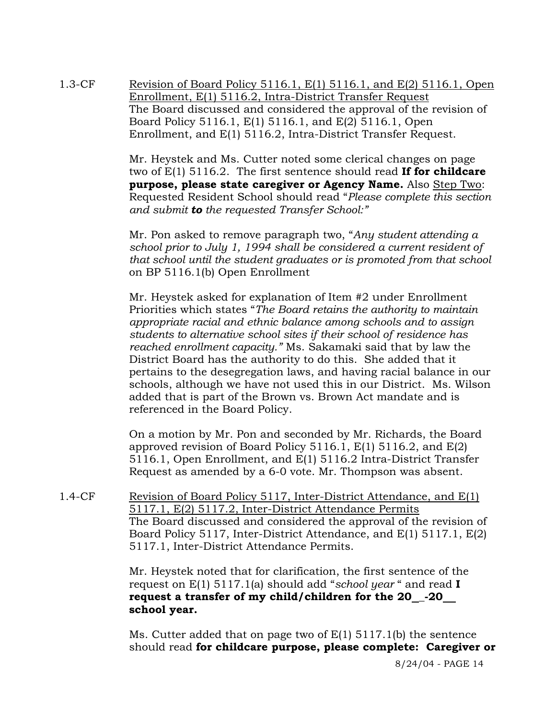1.3-CF Revision of Board Policy 5116.1, E(1) 5116.1, and E(2) 5116.1, Open Enrollment, E(1) 5116.2, Intra-District Transfer Request The Board discussed and considered the approval of the revision of Board Policy 5116.1, E(1) 5116.1, and E(2) 5116.1, Open Enrollment, and E(1) 5116.2, Intra-District Transfer Request.

> Mr. Heystek and Ms. Cutter noted some clerical changes on page two of E(1) 5116.2. The first sentence should read **If for childcare purpose, please state caregiver or Agency Name.** Also Step Two: Requested Resident School should read "*Please complete this section and submit to the requested Transfer School:"*

> Mr. Pon asked to remove paragraph two, "*Any student attending a school prior to July 1, 1994 shall be considered a current resident of that school until the student graduates or is promoted from that school*  on BP 5116.1(b) Open Enrollment

> Mr. Heystek asked for explanation of Item #2 under Enrollment Priorities which states "*The Board retains the authority to maintain appropriate racial and ethnic balance among schools and to assign students to alternative school sites if their school of residence has reached enrollment capacity."* Ms. Sakamaki said that by law the District Board has the authority to do this. She added that it pertains to the desegregation laws, and having racial balance in our schools, although we have not used this in our District. Ms. Wilson added that is part of the Brown vs. Brown Act mandate and is referenced in the Board Policy.

On a motion by Mr. Pon and seconded by Mr. Richards, the Board approved revision of Board Policy 5116.1, E(1) 5116.2, and E(2) 5116.1, Open Enrollment, and E(1) 5116.2 Intra-District Transfer Request as amended by a 6-0 vote. Mr. Thompson was absent.

1.4-CF Revision of Board Policy 5117, Inter-District Attendance, and E(1) 5117.1, E(2) 5117.2, Inter-District Attendance Permits The Board discussed and considered the approval of the revision of Board Policy 5117, Inter-District Attendance, and E(1) 5117.1, E(2) 5117.1, Inter-District Attendance Permits.

> Mr. Heystek noted that for clarification, the first sentence of the request on E(1) 5117.1(a) should add "*school year* " and read **I request a transfer of my child/children for the 20 \_-20 school year.**

Ms. Cutter added that on page two of E(1) 5117.1(b) the sentence should read **for childcare purpose, please complete: Caregiver or**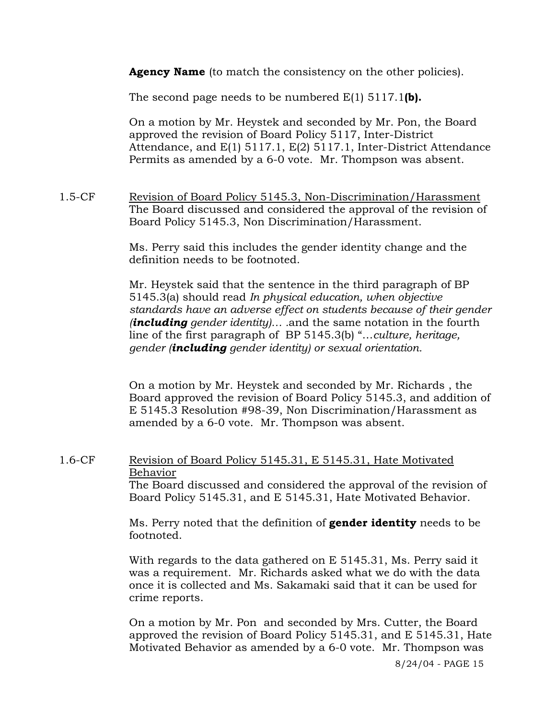**Agency Name** (to match the consistency on the other policies).

The second page needs to be numbered E(1) 5117.1**(b).**

On a motion by Mr. Heystek and seconded by Mr. Pon, the Board approved the revision of Board Policy 5117, Inter-District Attendance, and E(1) 5117.1, E(2) 5117.1, Inter-District Attendance Permits as amended by a 6-0 vote. Mr. Thompson was absent.

1.5-CF Revision of Board Policy 5145.3, Non-Discrimination/Harassment The Board discussed and considered the approval of the revision of Board Policy 5145.3, Non Discrimination/Harassment.

> Ms. Perry said this includes the gender identity change and the definition needs to be footnoted.

Mr. Heystek said that the sentence in the third paragraph of BP 5145.3(a) should read *In physical education, when objective standards have an adverse effect on students because of their gender (including gender identity)… .*and the same notation in the fourth line of the first paragraph of BP 5145.3(b) "…*culture, heritage, gender (including gender identity) or sexual orientation.* 

On a motion by Mr. Heystek and seconded by Mr. Richards , the Board approved the revision of Board Policy 5145.3, and addition of E 5145.3 Resolution #98-39, Non Discrimination/Harassment as amended by a 6-0 vote. Mr. Thompson was absent.

1.6-CF Revision of Board Policy 5145.31, E 5145.31, Hate Motivated Behavior The Board discussed and considered the approval of the revision of

Board Policy 5145.31, and E 5145.31, Hate Motivated Behavior.

Ms. Perry noted that the definition of **gender identity** needs to be footnoted.

With regards to the data gathered on E 5145.31, Ms. Perry said it was a requirement. Mr. Richards asked what we do with the data once it is collected and Ms. Sakamaki said that it can be used for crime reports.

On a motion by Mr. Pon and seconded by Mrs. Cutter, the Board approved the revision of Board Policy 5145.31, and E 5145.31, Hate Motivated Behavior as amended by a 6-0 vote. Mr. Thompson was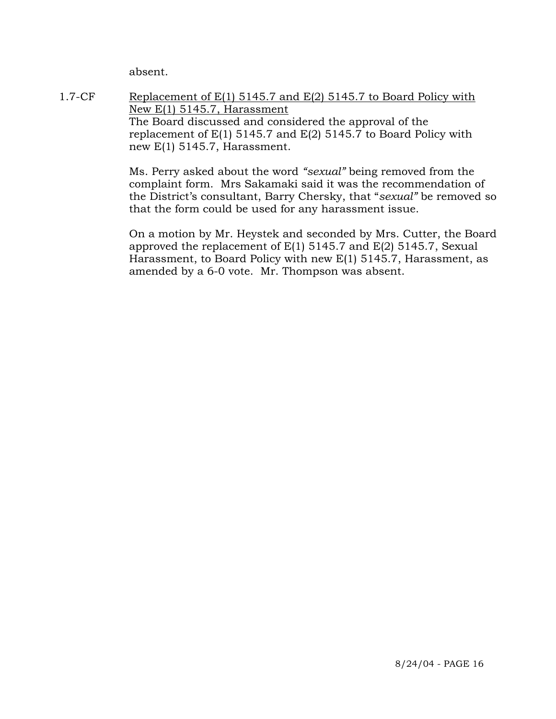absent.

1.7-CF Replacement of E(1) 5145.7 and E(2) 5145.7 to Board Policy with New E(1) 5145.7, Harassment The Board discussed and considered the approval of the replacement of E(1) 5145.7 and E(2) 5145.7 to Board Policy with new E(1) 5145.7, Harassment.

> Ms. Perry asked about the word *"sexual"* being removed from the complaint form. Mrs Sakamaki said it was the recommendation of the District's consultant, Barry Chersky, that "*sexual"* be removed so that the form could be used for any harassment issue.

> On a motion by Mr. Heystek and seconded by Mrs. Cutter, the Board approved the replacement of E(1) 5145.7 and E(2) 5145.7, Sexual Harassment, to Board Policy with new E(1) 5145.7, Harassment, as amended by a 6-0 vote. Mr. Thompson was absent.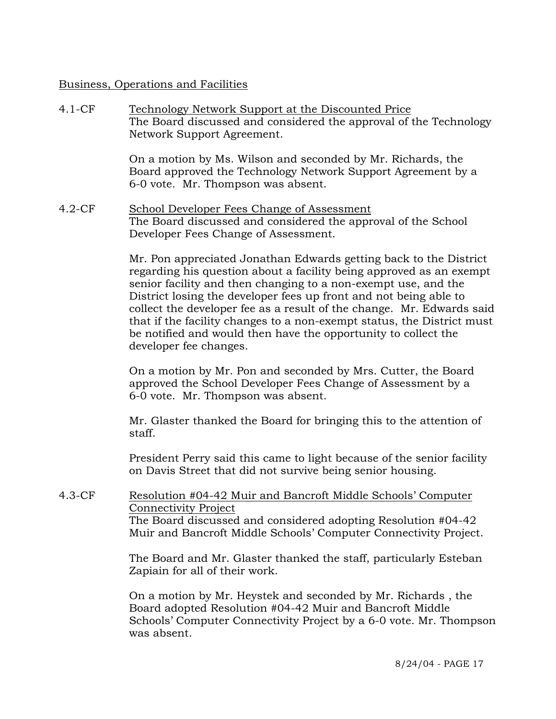#### Business, Operations and Facilities

4.1-CF Technology Network Support at the Discounted Price The Board discussed and considered the approval of the Technology Network Support Agreement. On a motion by Ms. Wilson and seconded by Mr. Richards, the Board approved the Technology Network Support Agreement by a 6-0 vote. Mr. Thompson was absent. 4.2-CF School Developer Fees Change of Assessment The Board discussed and considered the approval of the School Developer Fees Change of Assessment. Mr. Pon appreciated Jonathan Edwards getting back to the District regarding his question about a facility being approved as an exempt senior facility and then changing to a non-exempt use, and the District losing the developer fees up front and not being able to collect the developer fee as a result of the change. Mr. Edwards said that if the facility changes to a non-exempt status, the District must be notified and would then have the opportunity to collect the developer fee changes. On a motion by Mr. Pon and seconded by Mrs. Cutter, the Board approved the School Developer Fees Change of Assessment by a 6-0 vote. Mr. Thompson was absent.

> Mr. Glaster thanked the Board for bringing this to the attention of staff.

President Perry said this came to light because of the senior facility on Davis Street that did not survive being senior housing.

4.3-CF Resolution #04-42 Muir and Bancroft Middle Schools' Computer Connectivity Project The Board discussed and considered adopting Resolution #04-42 Muir and Bancroft Middle Schools' Computer Connectivity Project.

> The Board and Mr. Glaster thanked the staff, particularly Esteban Zapiain for all of their work.

On a motion by Mr. Heystek and seconded by Mr. Richards , the Board adopted Resolution #04-42 Muir and Bancroft Middle Schools' Computer Connectivity Project by a 6-0 vote. Mr. Thompson was absent.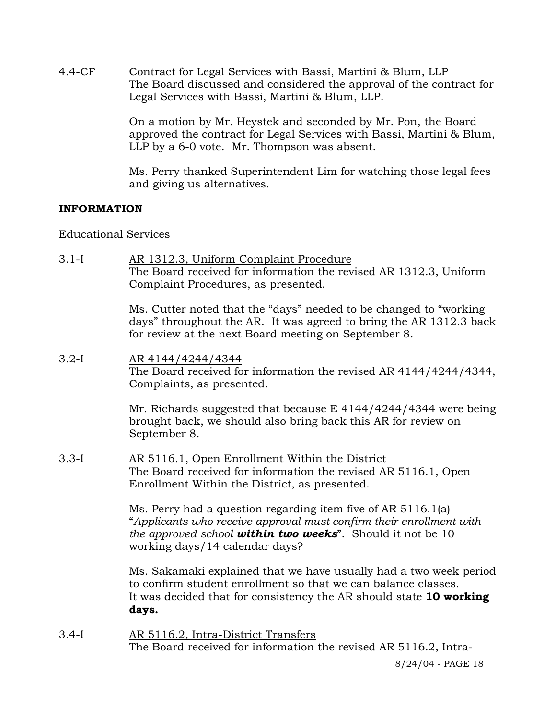4.4-CF Contract for Legal Services with Bassi, Martini & Blum, LLP The Board discussed and considered the approval of the contract for Legal Services with Bassi, Martini & Blum, LLP.

> On a motion by Mr. Heystek and seconded by Mr. Pon, the Board approved the contract for Legal Services with Bassi, Martini & Blum, LLP by a 6-0 vote. Mr. Thompson was absent.

Ms. Perry thanked Superintendent Lim for watching those legal fees and giving us alternatives.

## **INFORMATION**

Educational Services

- 3.1-I AR 1312.3, Uniform Complaint Procedure The Board received for information the revised AR 1312.3, Uniform Complaint Procedures, as presented. Ms. Cutter noted that the "days" needed to be changed to "working days" throughout the AR. It was agreed to bring the AR 1312.3 back for review at the next Board meeting on September 8. 3.2-I AR 4144/4244/4344 The Board received for information the revised AR 4144/4244/4344, Complaints, as presented. Mr. Richards suggested that because E 4144/4244/4344 were being brought back, we should also bring back this AR for review on September 8. 3.3-I AR 5116.1, Open Enrollment Within the District The Board received for information the revised AR 5116.1, Open Enrollment Within the District, as presented. Ms. Perry had a question regarding item five of AR 5116.1(a) "*Applicants who receive approval must confirm their enrollment with the approved school within two weeks*". Should it not be 10 working days/14 calendar days? Ms. Sakamaki explained that we have usually had a two week period to confirm student enrollment so that we can balance classes. It was decided that for consistency the AR should state **10 working days.**
- 3.4-I AR 5116.2, Intra-District Transfers The Board received for information the revised AR 5116.2, Intra-

8/24/04 - PAGE 18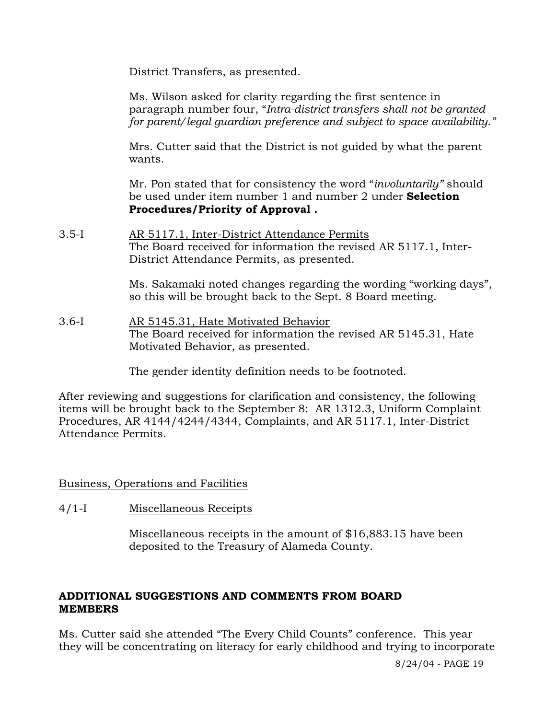District Transfers, as presented.

Ms. Wilson asked for clarity regarding the first sentence in paragraph number four, "*Intra-district transfers shall not be granted for parent/legal guardian preference and subject to space availability."*

Mrs. Cutter said that the District is not guided by what the parent wants.

Mr. Pon stated that for consistency the word "*involuntarily"* should be used under item number 1 and number 2 under **Selection Procedures/Priority of Approval .**

3.5-I AR 5117.1, Inter-District Attendance Permits The Board received for information the revised AR 5117.1, Inter-District Attendance Permits, as presented.

> Ms. Sakamaki noted changes regarding the wording "working days", so this will be brought back to the Sept. 8 Board meeting.

3.6-I AR 5145.31, Hate Motivated Behavior The Board received for information the revised AR 5145.31, Hate Motivated Behavior, as presented.

The gender identity definition needs to be footnoted.

After reviewing and suggestions for clarification and consistency, the following items will be brought back to the September 8: AR 1312.3, Uniform Complaint Procedures, AR 4144/4244/4344, Complaints, and AR 5117.1, Inter-District Attendance Permits.

## Business, Operations and Facilities

4/1-I Miscellaneous Receipts

Miscellaneous receipts in the amount of \$16,883.15 have been deposited to the Treasury of Alameda County.

## **ADDITIONAL SUGGESTIONS AND COMMENTS FROM BOARD MEMBERS**

Ms. Cutter said she attended "The Every Child Counts" conference. This year they will be concentrating on literacy for early childhood and trying to incorporate

8/24/04 - PAGE 19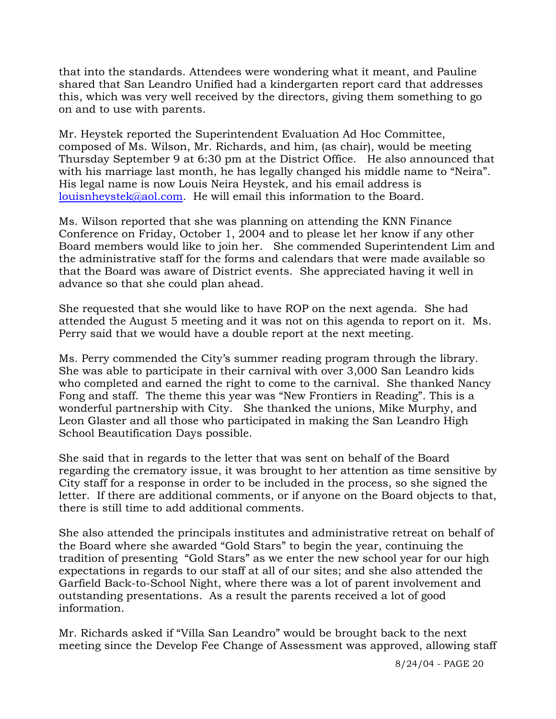that into the standards. Attendees were wondering what it meant, and Pauline shared that San Leandro Unified had a kindergarten report card that addresses this, which was very well received by the directors, giving them something to go on and to use with parents.

Mr. Heystek reported the Superintendent Evaluation Ad Hoc Committee, composed of Ms. Wilson, Mr. Richards, and him, (as chair), would be meeting Thursday September 9 at 6:30 pm at the District Office. He also announced that with his marriage last month, he has legally changed his middle name to "Neira". His legal name is now Louis Neira Heystek, and his email address is louisnheystek@aol.com. He will email this information to the Board.

Ms. Wilson reported that she was planning on attending the KNN Finance Conference on Friday, October 1, 2004 and to please let her know if any other Board members would like to join her. She commended Superintendent Lim and the administrative staff for the forms and calendars that were made available so that the Board was aware of District events. She appreciated having it well in advance so that she could plan ahead.

She requested that she would like to have ROP on the next agenda. She had attended the August 5 meeting and it was not on this agenda to report on it. Ms. Perry said that we would have a double report at the next meeting.

Ms. Perry commended the City's summer reading program through the library. She was able to participate in their carnival with over 3,000 San Leandro kids who completed and earned the right to come to the carnival. She thanked Nancy Fong and staff. The theme this year was "New Frontiers in Reading". This is a wonderful partnership with City. She thanked the unions, Mike Murphy, and Leon Glaster and all those who participated in making the San Leandro High School Beautification Days possible.

She said that in regards to the letter that was sent on behalf of the Board regarding the crematory issue, it was brought to her attention as time sensitive by City staff for a response in order to be included in the process, so she signed the letter. If there are additional comments, or if anyone on the Board objects to that, there is still time to add additional comments.

She also attended the principals institutes and administrative retreat on behalf of the Board where she awarded "Gold Stars" to begin the year, continuing the tradition of presenting "Gold Stars" as we enter the new school year for our high expectations in regards to our staff at all of our sites; and she also attended the Garfield Back-to-School Night, where there was a lot of parent involvement and outstanding presentations. As a result the parents received a lot of good information.

Mr. Richards asked if "Villa San Leandro" would be brought back to the next meeting since the Develop Fee Change of Assessment was approved, allowing staff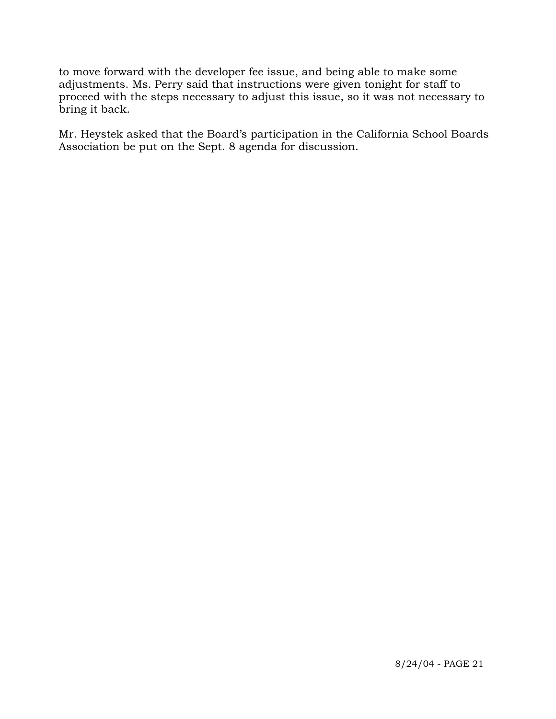to move forward with the developer fee issue, and being able to make some adjustments. Ms. Perry said that instructions were given tonight for staff to proceed with the steps necessary to adjust this issue, so it was not necessary to bring it back.

Mr. Heystek asked that the Board's participation in the California School Boards Association be put on the Sept. 8 agenda for discussion.